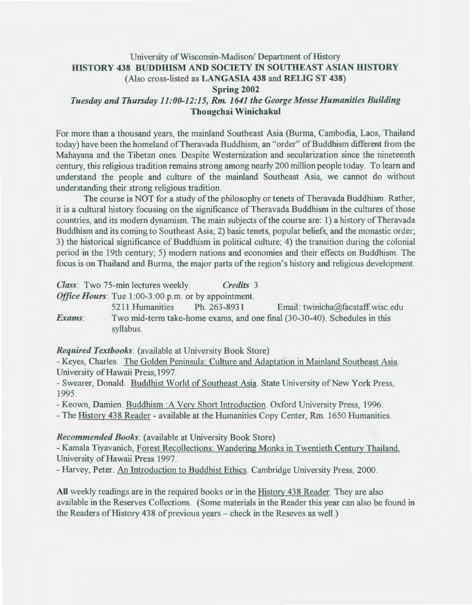# University of Wisconsin-Madison/ Department of History HISTORY 438 BUDDHISM AND SOCIETY IN SOUTHEAST ASIAN HISTORY (Also cross-listed as LANGASIA 438 and RELIG ST 438) Spring 2002 *Tuesday and Thursday 11:00-12:15, Rm. 1641 the George Mosse Humanities Building*  Thongchai Winichakul

For more than a thousand years, the mainland Southeast Asia (Burma, Cambodia, Laos, Thailand today) have been the homeland of Theravada Buddhism, an "order" of Buddhism different from the Mahayana and the Tibetan ones. Despite Westernization and secularization since the nineteenth century, this religious tradition remains strong among nearly 200 million people today. To learn and understand the people and culture of the mainland Southeast Asia, we cannot do without understanding their strong religious tradition.

The course is NOT for a study of the philosophy or tenets of Theravada Buddhism. Rather, it is a cultural history focusing on the significance of Theravada Buddhism in the cultures of those countries, and its modern dynamism. The main subjects of the course are: 1) a history of Theravada Buddhism and its coming to Southeast Asia; 2) basic tenets, popular beliefs, and the monastic order; 3) the historical significance of Buddhism in political culture; 4) the transition during the colonial period in the 19th century; 5) modern nations and economies and their effects on Buddhism. The focus is on Thailand and Burma, the major parts of the region's history and religious development.

*Class:* Two 75-min lectures weekly. *Credits* 3

*Office Hours:* Tue 1:00-3:00 p.m. or by appointment.

5211 Humanities Ph. 263-8931 Email: twinicha@facstaff.wisc.edu *Exams*: Two mid-term take-home exams, and one final (30-30-40). Schedules in this syllabus.

## *Required Textbooks:* (available at University Book Store)

- Keyes, Charles. The Golden Peninsula: Culture and Adaptation in Mainland Southeast Asia. University of Hawaii Press, 1997.

- Swearer, Donald. Buddhist World of Southeast Asia. State University of New York Press, 1995.

-Keown, Damien. Buddhism :A Very Short Introduction. Oxford University Press, 1996.

-The History 438 Reader- available at the Humanities Copy Center, Rm. 1650 Humanities.

#### *Recommended Books:* (available at University Book Store)

-Kamala Tiyavanich, Forest Recollections: Wandering Monks in Twentieth Century Thailand, University of Hawaii Press 1997.

-Harvey, Peter. An Introduction to Buddhist Ethics. Cambridge University Press, 2000.

All weekly readings are in the required books or in the History 438 Reader. They are also available in the Reserves Collections. (Some materials in the Reader this year can also be found in the Readers of History 438 of previous years – check in the Reseves as well.)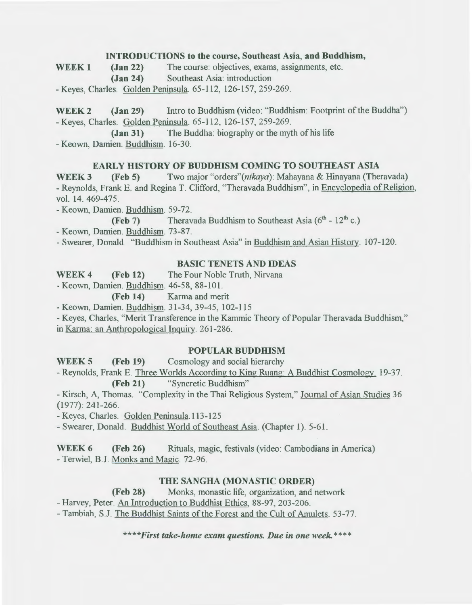### INTRODUCTIONS to the course, Southeast Asia, and Buddhism,

WEEK 1 (Jan 22) The course: objectives, exams, assignments, etc. (Jan 24) Southeast Asia: introduction

-Keyes, Charles. Golden Peninsula. 65-112, 126-157, 259-269.

WEEK 2 (Jan 29) Intro to Buddhism (video: "Buddhism: Footprint of the Buddha") -Keyes, Charles. Golden Peninsula. 65-112, 126-157, 259-269.

(Jan 31) The Buddha: biography or the myth of his life -Keown, Darnien. Buddhism. 16-30.

## EARLY HISTORY OF BUDDHISM COMING TO SOUTHEAST ASIA

WEEK 3 (Feb 5) Two major "orders"(nikaya): Mahayana & Hinayana (Theravada) - Reynolds, Frank E. and Regina T. Clifford, "Theravada Buddhism", in Encyclopedia of Religion, vol. 14. 469-475.

-Keown, Darnien. Buddhism. 59-72.

(Feb 7) Theravada Buddhism to Southeast Asia  $(6<sup>th</sup> - 12<sup>th</sup> c.)$ 

-Keown, Darnien. Buddhism. 73-87.

- Swearer, Donald. "Buddhism in Southeast Asia" in Buddhism and Asian History. 107-120.

## BASIC TENETS AND IDEAS

WEEK 4 (Feb 12) The Four Noble Truth, Nirvana

-Keown, Darnien. Buddhism. 46-58, 88-101.

(Feb 14) Karma and merit

-Keown, Darnien. Buddhism. 31-34,39-45, 102-115

-Keyes, Charles, "Merit Transference in the Kamrnic Theory of Popular Theravada Buddhism," in Karma: an Anthropological Inquiry. 261-286.

### POPULAR BUDDHISM

WEEK 5 (Feb 19) Cosmology and social hierarchy

-Reynolds, Frank E. Three Worlds According to King Ruang: A Buddhist Cosmology. 19-37. (Feb 21) "Syncretic Buddhism"

-Kirsch, A, Thomas. "Complexity in the Thai Religious System," Journal of Asian Studies 36 (1977): 241-266.

-Keyes, Charles. Golden Peninsula.113-125

- Swearer, Donald. Buddhist World of Southeast Asia. (Chapter 1). 5-61.

WEEK 6 (Feb 26) Rituals, magic, festivals (video: Cambodians in America) - Terwiel, B.J. Monks and Magic. 72-96.

### THE SANGHA (MONASTIC ORDER)

(Feb 28) Monks, monastic life, organization, and network

-Harvey, Peter. An Introduction to Buddhist Ethics, 88-97, 203-206.

- Tambiah, S.J. The Buddhist Saints of the Forest and the Cult of Amulets. 53-77.

*\*\*\*\*First take-home exam questions. Due in one week.\*\*\*\**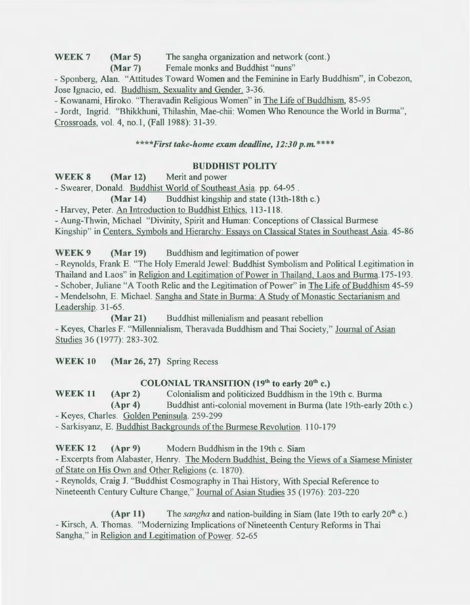WEEK 7 (Mar 5) The sangha organization and network (cont.)

(Mar 7) Female monks and Buddhist "nuns"

- Sponberg, Alan. "Attitudes Toward Women and the Feminine in Early Buddhism", in Cobezon, Jose Ignacio, ed. Buddhism, Sexuality and Gender. 3-36.

- Kowanami, Hiroko. "Theravadin Religious Women" in The Life of Buddhism, 85-95

- Jordt, Ingrid. "Bhikkhuni, Thilashin, Mae-chii: Women Who Renounce the World in Burma", Crossroads, vol. 4, no. I, (Fall 1988): 31-39.

## *\*\*\*\*First take-home exam deadline, 12:30 p.m.\*\*\*\**

## BUDDHIST POLITY

WEEK 8 (Mar 12) Merit and power

-Swearer, Donald. Buddhist World of Southeast Asia. pp. 64-95 .

(Mar 14) Buddhist kingship and state (13th-18th c.)

-Harvey, Peter. An Introduction to Buddhist Ethics, 113-118.

- Aung-Thwin, Michael "Divinity, Spirit and Human: Conceptions of Classical Burmese

Kingship" in Centers, Symbols and Hierarchy: Essays on Classical States in Southeast Asia. 45-86

WEEK 9 (Mar 19) Buddhism and legitimation of power

-Reynolds, Frank E. "The Holy Emerald Jewel: Buddhist Symbolism and Political Legitimation in Thailand and Laos" in Religion and Legitimation of Power in Thailand, Laos and Burma.175-193. - Schober, Juliane "A Tooth Relic and the Legitimation of Power" in The Life of Buddhism 45-59 - Mendelsohn, E. Michael. Sangha and State in Burma: A Study of Monastic Sectarianism and Leadership. 31-65.

(Mar 21) Buddhist millenialism and peasant rebellion -Keyes, Charles F. "Millennialism, Theravada Buddhism and Thai Society," Journal of Asian Studies 36 (1977): 283-302.

WEEK 10 (Mar 26, 27) Spring Recess

# COLONIAL TRANSITION  $(19<sup>th</sup>$  to early  $20<sup>th</sup>$  c.)

WEEK 11 (Apr 2) Colonialism and politicized Buddhism in the 19th c. Burma (Apr 4) Buddhist anti-colonial movement in Burma (late 19th-early 20th c.) - Keyes, Charles. Golden Peninsula. 259-299

- Sarkisyanz, E. Buddhist Backgrounds of the Burmese Revolution. 110-179

WEEK 12 (Apr 9) Modern Buddhism in the 19th c. Siam

- Excerpts from Alabaster, Henry. The Modern Buddhist, Being the Views of a Siamese Minister of State on His Own and Other Religions (c. 1870).

- Reynolds, Craig J. "Buddhist Cosmography in Thai History, With Special Reference to Nineteenth Century Culture Change," Journal of Asian Studies 35 (1976): 203-220

(Apr 11) The *sangha* and nation-building in Siam (late 19th to early 20'h c.) - Kirsch, A. Thomas. "Modernizing Implications of Nineteenth Century Reforms in Thai Sangha," in Religion and Legitimation of Power. 52-65